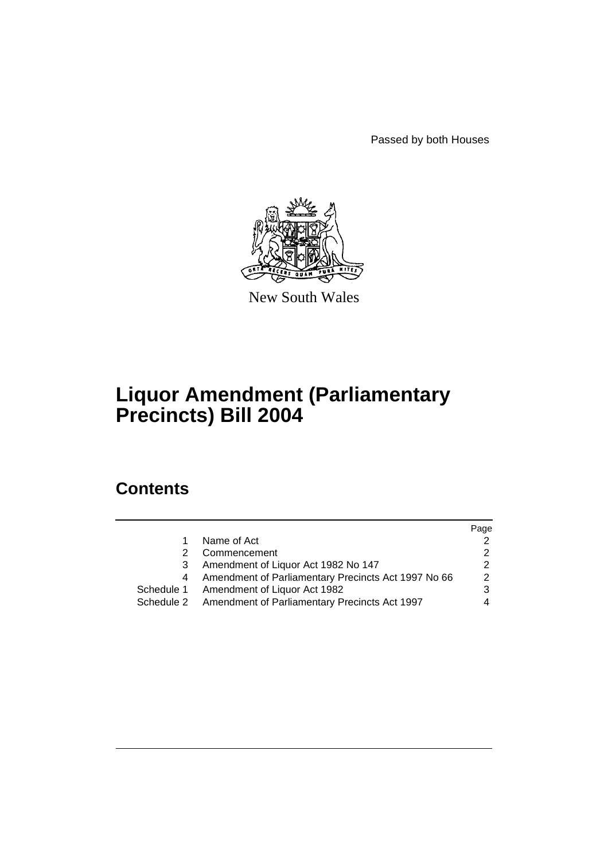Passed by both Houses



New South Wales

# **Liquor Amendment (Parliamentary Precincts) Bill 2004**

### **Contents**

|            |                                                      | Page |
|------------|------------------------------------------------------|------|
|            | Name of Act                                          |      |
|            | Commencement                                         |      |
| 3          | Amendment of Liquor Act 1982 No 147                  |      |
| 4          | Amendment of Parliamentary Precincts Act 1997 No 66  |      |
|            | Schedule 1 Amendment of Liquor Act 1982              |      |
| Schedule 2 | <b>Amendment of Parliamentary Precincts Act 1997</b> |      |
|            |                                                      |      |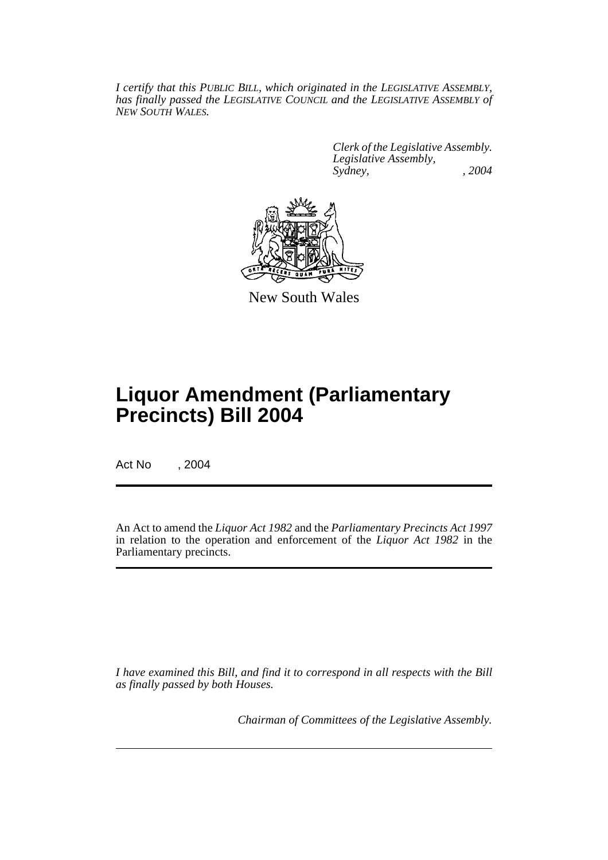*I certify that this PUBLIC BILL, which originated in the LEGISLATIVE ASSEMBLY, has finally passed the LEGISLATIVE COUNCIL and the LEGISLATIVE ASSEMBLY of NEW SOUTH WALES.*

> *Clerk of the Legislative Assembly. Legislative Assembly, Sydney, , 2004*



New South Wales

## **Liquor Amendment (Parliamentary Precincts) Bill 2004**

Act No , 2004

An Act to amend the *Liquor Act 1982* and the *Parliamentary Precincts Act 1997* in relation to the operation and enforcement of the *Liquor Act 1982* in the Parliamentary precincts.

*I have examined this Bill, and find it to correspond in all respects with the Bill as finally passed by both Houses.*

*Chairman of Committees of the Legislative Assembly.*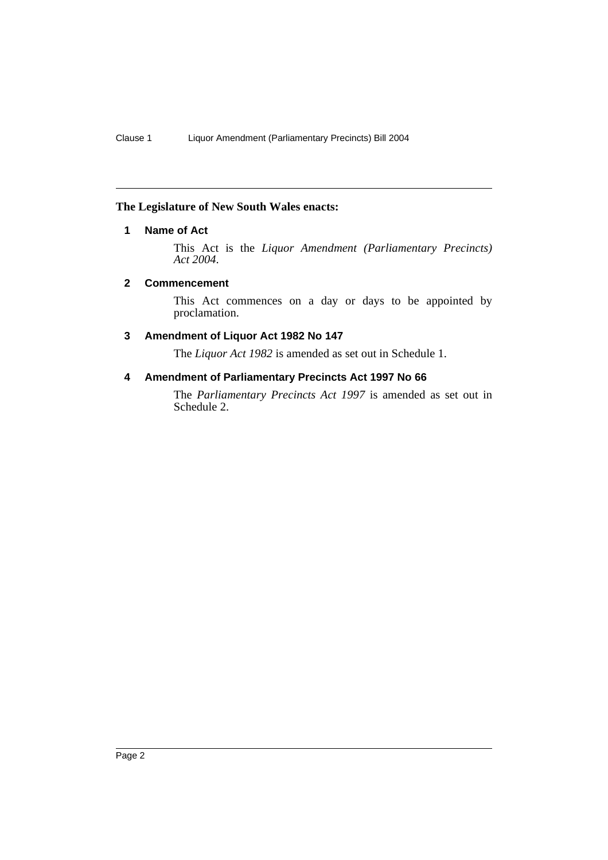#### **The Legislature of New South Wales enacts:**

#### **1 Name of Act**

This Act is the *Liquor Amendment (Parliamentary Precincts) Act 2004*.

#### **2 Commencement**

This Act commences on a day or days to be appointed by proclamation.

#### **3 Amendment of Liquor Act 1982 No 147**

The *Liquor Act 1982* is amended as set out in Schedule 1.

#### **4 Amendment of Parliamentary Precincts Act 1997 No 66**

The *Parliamentary Precincts Act 1997* is amended as set out in Schedule 2.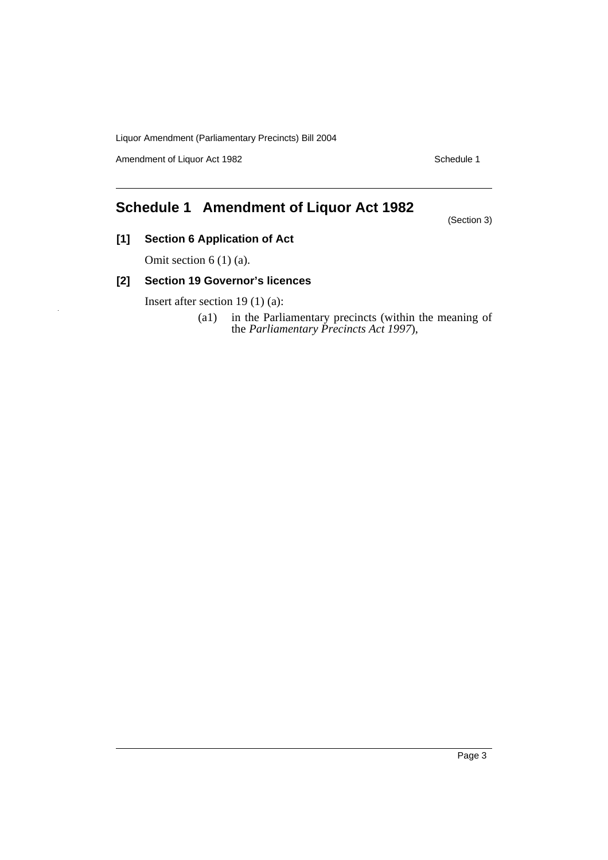Liquor Amendment (Parliamentary Precincts) Bill 2004

Amendment of Liquor Act 1982 Schedule 1

### **Schedule 1 Amendment of Liquor Act 1982**

(Section 3)

**[1] Section 6 Application of Act**

Omit section 6 (1) (a).

#### **[2] Section 19 Governor's licences**

Insert after section 19 (1) (a):

(a1) in the Parliamentary precincts (within the meaning of the *Parliamentary Precincts Act 1997*),